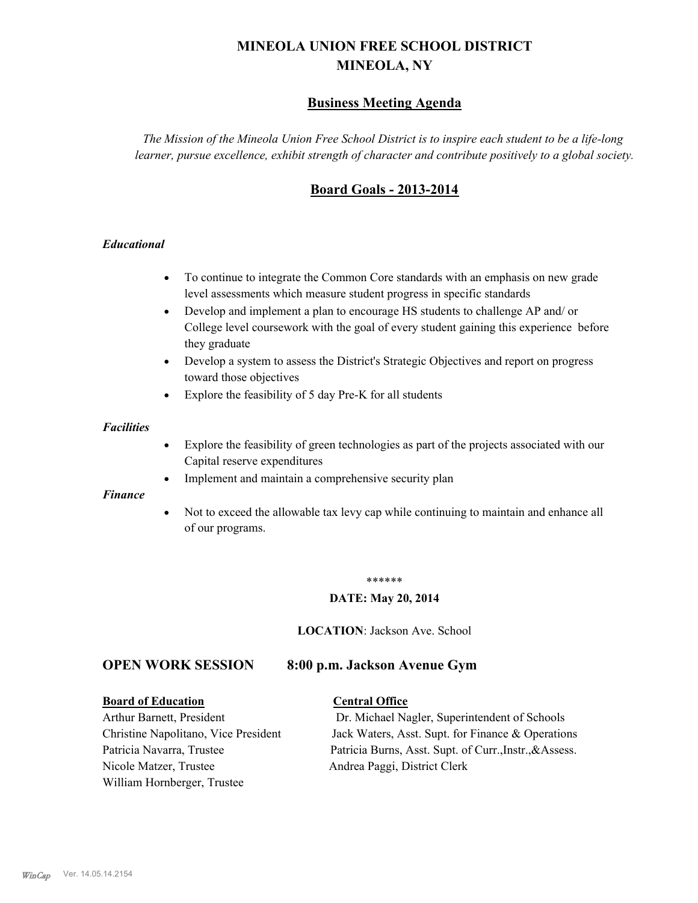# **MINEOLA UNION FREE SCHOOL DISTRICT MINEOLA, NY**

# **Business Meeting Agenda**

*The Mission of the Mineola Union Free School District is to inspire each student to be a life-long learner, pursue excellence, exhibit strength of character and contribute positively to a global society.*

# **Board Goals - 2013-2014**

## *Educational*

- · To continue to integrate the Common Core standards with an emphasis on new grade level assessments which measure student progress in specific standards
- · Develop and implement a plan to encourage HS students to challenge AP and/ or College level coursework with the goal of every student gaining this experience before they graduate
- Develop a system to assess the District's Strategic Objectives and report on progress toward those objectives
- · Explore the feasibility of 5 day Pre-K for all students

#### *Facilities*

- · Explore the feasibility of green technologies as part of the projects associated with our Capital reserve expenditures
- Implement and maintain a comprehensive security plan

#### *Finance*

• Not to exceed the allowable tax levy cap while continuing to maintain and enhance all of our programs.

#### \*\*\*\*\*\*

#### **DATE: May 20, 2014**

**LOCATION**: Jackson Ave. School

## **OPEN WORK SESSION 8:00 p.m. Jackson Avenue Gym**

#### **Board of Education Central Office**

Nicole Matzer, Trustee Andrea Paggi, District Clerk William Hornberger, Trustee

Arthur Barnett, President Dr. Michael Nagler, Superintendent of Schools Christine Napolitano, Vice President Jack Waters, Asst. Supt. for Finance & Operations Patricia Navarra, Trustee Patricia Burns, Asst. Supt. of Curr., Instr., &Assess.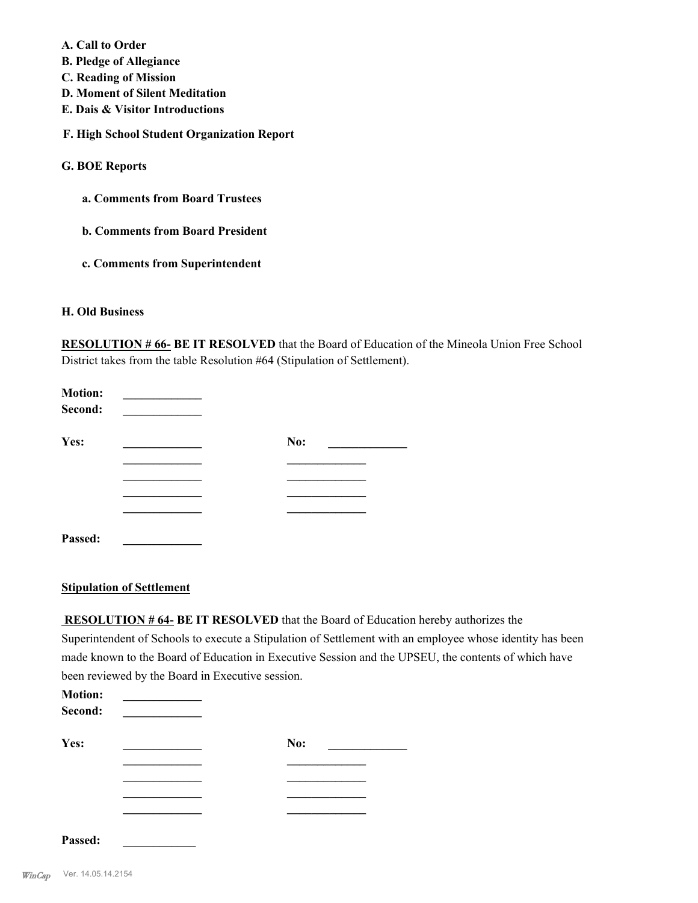- **A. Call to Order**
- **B. Pledge of Allegiance**
- **C. Reading of Mission**
- **D. Moment of Silent Meditation**
- **E. Dais & Visitor Introductions**
- **F. High School Student Organization Report**

## **G. BOE Reports**

- **a. Comments from Board Trustees**
- **b. Comments from Board President**
- **c. Comments from Superintendent**

## **H. Old Business**

**RESOLUTION # 66- BE IT RESOLVED** that the Board of Education of the Mineola Union Free School District takes from the table Resolution #64 (Stipulation of Settlement).

| <b>Motion:</b><br>Second: |     |
|---------------------------|-----|
| Yes:                      | No: |
|                           |     |
|                           |     |
|                           |     |
| Passed:                   |     |

## **Stipulation of Settlement**

 **RESOLUTION # 64- BE IT RESOLVED** that the Board of Education hereby authorizes the Superintendent of Schools to execute a Stipulation of Settlement with an employee whose identity has been made known to the Board of Education in Executive Session and the UPSEU, the contents of which have been reviewed by the Board in Executive session.

| <b>Motion:</b><br>Second: |     |
|---------------------------|-----|
| Yes:                      | No: |
|                           |     |
|                           |     |
|                           |     |
|                           |     |
| Passed:                   |     |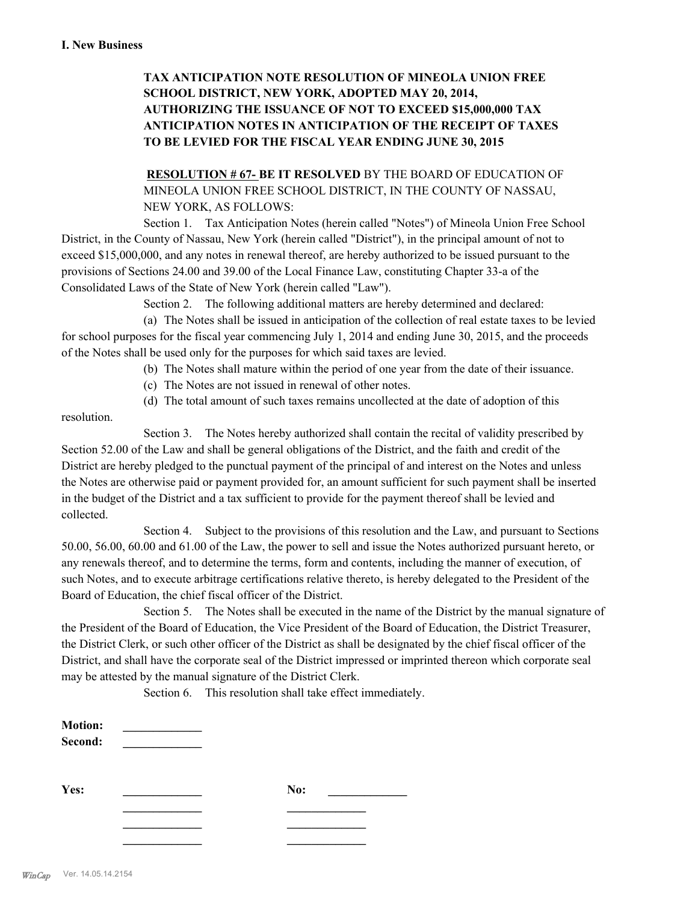# **TAX ANTICIPATION NOTE RESOLUTION OF MINEOLA UNION FREE SCHOOL DISTRICT, NEW YORK, ADOPTED MAY 20, 2014, AUTHORIZING THE ISSUANCE OF NOT TO EXCEED \$15,000,000 TAX ANTICIPATION NOTES IN ANTICIPATION OF THE RECEIPT OF TAXES TO BE LEVIED FOR THE FISCAL YEAR ENDING JUNE 30, 2015**

# **RESOLUTION # 67- BE IT RESOLVED** BY THE BOARD OF EDUCATION OF MINEOLA UNION FREE SCHOOL DISTRICT, IN THE COUNTY OF NASSAU, NEW YORK, AS FOLLOWS:

Section 1. Tax Anticipation Notes (herein called "Notes") of Mineola Union Free School District, in the County of Nassau, New York (herein called "District"), in the principal amount of not to exceed \$15,000,000, and any notes in renewal thereof, are hereby authorized to be issued pursuant to the provisions of Sections 24.00 and 39.00 of the Local Finance Law, constituting Chapter 33-a of the Consolidated Laws of the State of New York (herein called "Law").

Section 2. The following additional matters are hereby determined and declared:

(a) The Notes shall be issued in anticipation of the collection of real estate taxes to be levied for school purposes for the fiscal year commencing July 1, 2014 and ending June 30, 2015, and the proceeds of the Notes shall be used only for the purposes for which said taxes are levied.

- (b) The Notes shall mature within the period of one year from the date of their issuance.
- (c) The Notes are not issued in renewal of other notes.
- (d) The total amount of such taxes remains uncollected at the date of adoption of this

resolution.

Section 3. The Notes hereby authorized shall contain the recital of validity prescribed by Section 52.00 of the Law and shall be general obligations of the District, and the faith and credit of the District are hereby pledged to the punctual payment of the principal of and interest on the Notes and unless the Notes are otherwise paid or payment provided for, an amount sufficient for such payment shall be inserted in the budget of the District and a tax sufficient to provide for the payment thereof shall be levied and collected.

Section 4. Subject to the provisions of this resolution and the Law, and pursuant to Sections 50.00, 56.00, 60.00 and 61.00 of the Law, the power to sell and issue the Notes authorized pursuant hereto, or any renewals thereof, and to determine the terms, form and contents, including the manner of execution, of such Notes, and to execute arbitrage certifications relative thereto, is hereby delegated to the President of the Board of Education, the chief fiscal officer of the District.

Section 5. The Notes shall be executed in the name of the District by the manual signature of the President of the Board of Education, the Vice President of the Board of Education, the District Treasurer, the District Clerk, or such other officer of the District as shall be designated by the chief fiscal officer of the District, and shall have the corporate seal of the District impressed or imprinted thereon which corporate seal may be attested by the manual signature of the District Clerk.

Section 6. This resolution shall take effect immediately.

| <b>Motion:</b><br>Second: |     |  |
|---------------------------|-----|--|
| Yes:                      | No: |  |
|                           |     |  |
|                           |     |  |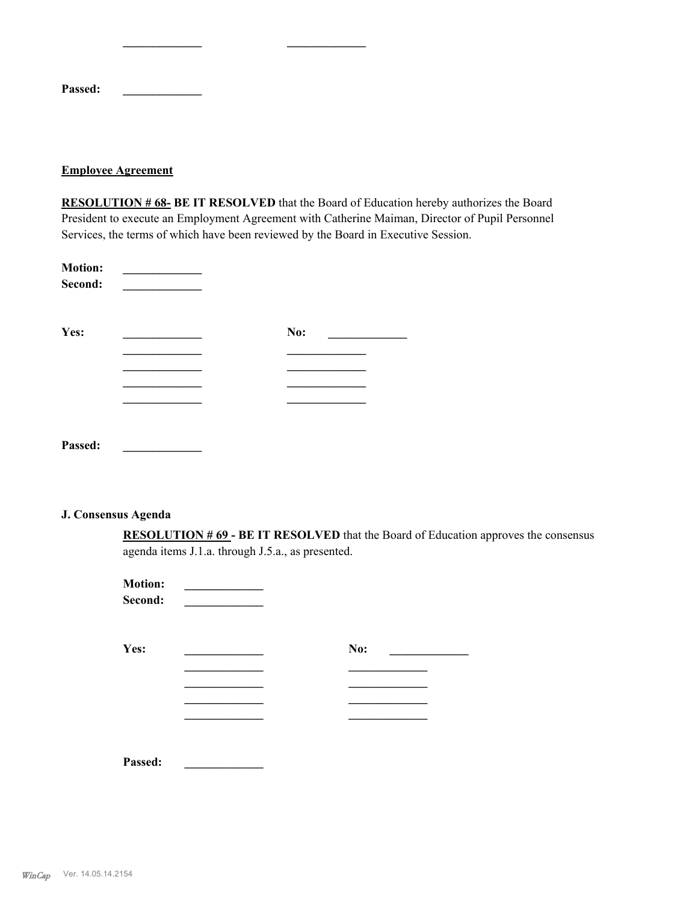| <b>Passed:</b> |  |  |
|----------------|--|--|

## **Employee Agreement**

**RESOLUTION # 68- BE IT RESOLVED** that the Board of Education hereby authorizes the Board President to execute an Employment Agreement with Catherine Maiman, Director of Pupil Personnel Services, the terms of which have been reviewed by the Board in Executive Session.

| <b>Motion:</b><br>Second: |     |  |
|---------------------------|-----|--|
| Yes:                      | No: |  |
|                           |     |  |
|                           |     |  |
|                           |     |  |
|                           |     |  |
|                           |     |  |
| Passed:                   |     |  |

**\_\_\_\_\_\_\_\_\_\_\_\_\_ \_\_\_\_\_\_\_\_\_\_\_\_\_**

#### **J. Consensus Agenda**

**RESOLUTION # 69 - BE IT RESOLVED** that the Board of Education approves the consensus agenda items J.1.a. through J.5.a., as presented.

| <b>Motion:</b><br>Second: |     |
|---------------------------|-----|
| Yes:                      | No: |
|                           |     |
|                           |     |
|                           |     |
|                           |     |
| Passed:                   |     |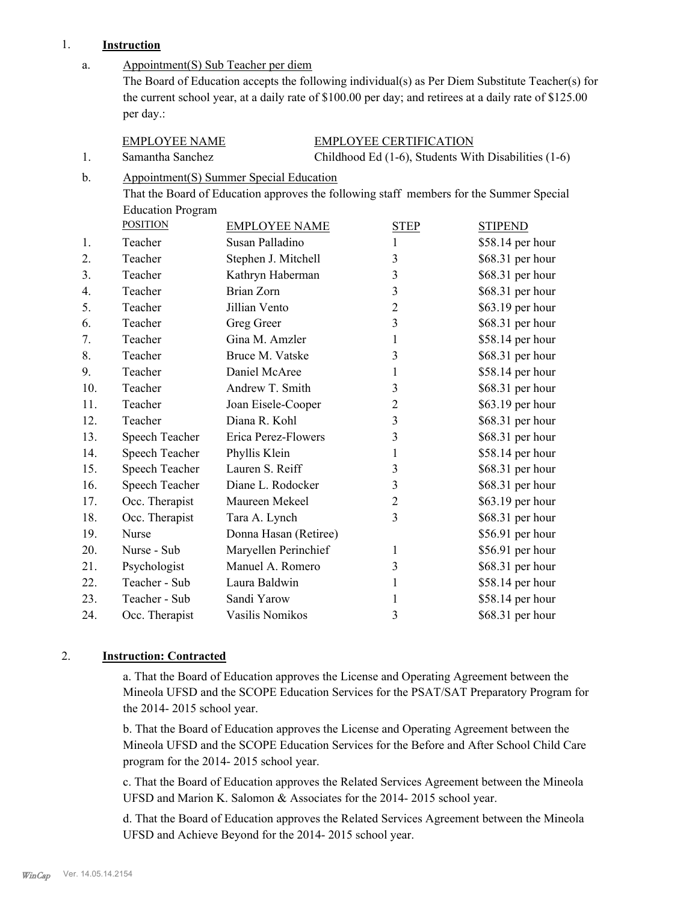# 1. **Instruction**

|     | msu ucuon                |                                                |                               |                                                                                                                                                                                                            |
|-----|--------------------------|------------------------------------------------|-------------------------------|------------------------------------------------------------------------------------------------------------------------------------------------------------------------------------------------------------|
| a.  | per day.:                | Appointment(S) Sub Teacher per diem            |                               | The Board of Education accepts the following individual(s) as Per Diem Substitute Teacher(s) for<br>the current school year, at a daily rate of \$100.00 per day; and retirees at a daily rate of \$125.00 |
|     | <b>EMPLOYEE NAME</b>     |                                                | <b>EMPLOYEE CERTIFICATION</b> |                                                                                                                                                                                                            |
| 1.  | Samantha Sanchez         |                                                |                               | Childhood Ed (1-6), Students With Disabilities (1-6)                                                                                                                                                       |
| b.  |                          | <b>Appointment(S) Summer Special Education</b> |                               |                                                                                                                                                                                                            |
|     |                          |                                                |                               | That the Board of Education approves the following staff members for the Summer Special                                                                                                                    |
|     | <b>Education Program</b> |                                                |                               |                                                                                                                                                                                                            |
|     | <b>POSITION</b>          | <b>EMPLOYEE NAME</b>                           | <b>STEP</b>                   | <b>STIPEND</b>                                                                                                                                                                                             |
| 1.  | Teacher                  | Susan Palladino                                | 1                             | \$58.14 per hour                                                                                                                                                                                           |
| 2.  | Teacher                  | Stephen J. Mitchell                            | 3                             | \$68.31 per hour                                                                                                                                                                                           |
| 3.  | Teacher                  | Kathryn Haberman                               | $\mathfrak{Z}$                | \$68.31 per hour                                                                                                                                                                                           |
| 4.  | Teacher                  | Brian Zorn                                     | 3                             | \$68.31 per hour                                                                                                                                                                                           |
| 5.  | Teacher                  | Jillian Vento                                  | $\overline{2}$                | \$63.19 per hour                                                                                                                                                                                           |
| 6.  | Teacher                  | Greg Greer                                     | 3                             | \$68.31 per hour                                                                                                                                                                                           |
| 7.  | Teacher                  | Gina M. Amzler                                 | 1                             | \$58.14 per hour                                                                                                                                                                                           |
| 8.  | Teacher                  | Bruce M. Vatske                                | 3                             | \$68.31 per hour                                                                                                                                                                                           |
| 9.  | Teacher                  | Daniel McAree                                  | 1                             | \$58.14 per hour                                                                                                                                                                                           |
| 10. | Teacher                  | Andrew T. Smith                                | 3                             | \$68.31 per hour                                                                                                                                                                                           |
| 11. | Teacher                  | Joan Eisele-Cooper                             | $\overline{2}$                | \$63.19 per hour                                                                                                                                                                                           |
| 12. | Teacher                  | Diana R. Kohl                                  | 3                             | \$68.31 per hour                                                                                                                                                                                           |
| 13. | Speech Teacher           | Erica Perez-Flowers                            | 3                             | \$68.31 per hour                                                                                                                                                                                           |
| 14. | Speech Teacher           | Phyllis Klein                                  | 1                             | \$58.14 per hour                                                                                                                                                                                           |
| 15. | Speech Teacher           | Lauren S. Reiff                                | 3                             | \$68.31 per hour                                                                                                                                                                                           |

16. Speech Teacher Diane L. Rodocker 3 \$68.31 per hour 17. Occ. Therapist Maureen Mekeel 2 \$63.19 per hour 18. Occ. Therapist Tara A. Lynch 3 \$68.31 per hour 19. Nurse Donna Hasan (Retiree) \$56.91 per hour 20. Nurse - Sub Maryellen Perinchief 1 \$56.91 per hour 21. Psychologist Manuel A. Romero 3 \$68.31 per hour 22. Teacher - Sub Laura Baldwin 1 \$58.14 per hour 23. Teacher - Sub Sandi Yarow 1 \$58.14 per hour 24. Occ. Therapist Vasilis Nomikos 3 \$68.31 per hour

## 2. **Instruction: Contracted**

a. That the Board of Education approves the License and Operating Agreement between the Mineola UFSD and the SCOPE Education Services for the PSAT/SAT Preparatory Program for the 2014- 2015 school year.

b. That the Board of Education approves the License and Operating Agreement between the Mineola UFSD and the SCOPE Education Services for the Before and After School Child Care program for the 2014- 2015 school year.

c. That the Board of Education approves the Related Services Agreement between the Mineola UFSD and Marion K. Salomon & Associates for the 2014- 2015 school year.

d. That the Board of Education approves the Related Services Agreement between the Mineola UFSD and Achieve Beyond for the 2014- 2015 school year.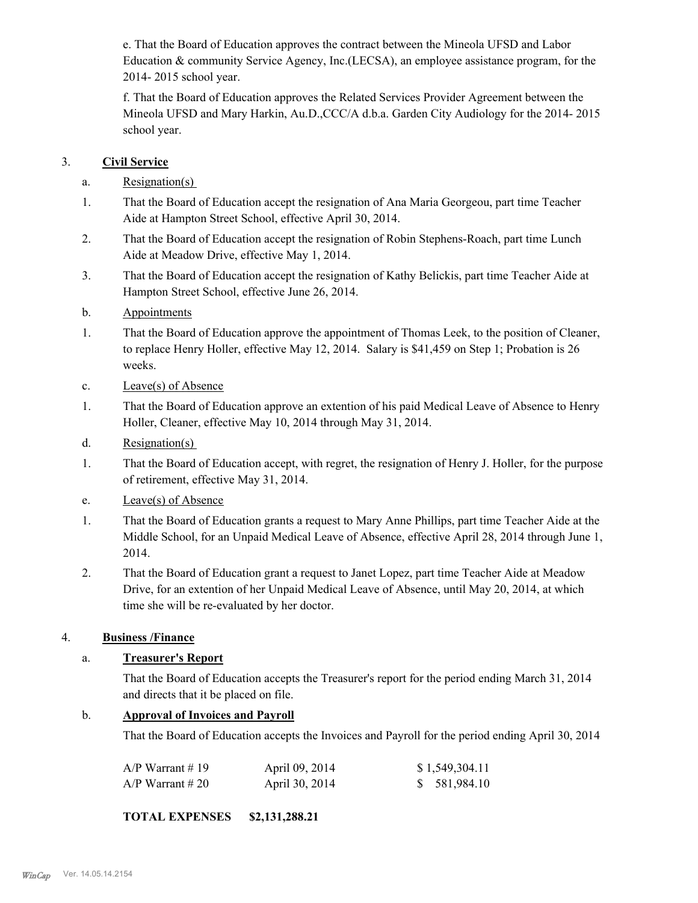e. That the Board of Education approves the contract between the Mineola UFSD and Labor Education & community Service Agency, Inc.(LECSA), an employee assistance program, for the 2014- 2015 school year.

f. That the Board of Education approves the Related Services Provider Agreement between the Mineola UFSD and Mary Harkin, Au.D.,CCC/A d.b.a. Garden City Audiology for the 2014- 2015 school year.

# 3. **Civil Service**

- a. Resignation(s)
- That the Board of Education accept the resignation of Ana Maria Georgeou, part time Teacher Aide at Hampton Street School, effective April 30, 2014. 1.
- That the Board of Education accept the resignation of Robin Stephens-Roach, part time Lunch Aide at Meadow Drive, effective May 1, 2014. 2.
- That the Board of Education accept the resignation of Kathy Belickis, part time Teacher Aide at Hampton Street School, effective June 26, 2014. 3.
- b. Appointments
- That the Board of Education approve the appointment of Thomas Leek, to the position of Cleaner, to replace Henry Holler, effective May 12, 2014. Salary is \$41,459 on Step 1; Probation is 26 weeks. 1.
- c. Leave(s) of Absence
- That the Board of Education approve an extention of his paid Medical Leave of Absence to Henry Holler, Cleaner, effective May 10, 2014 through May 31, 2014. 1.
- d. Resignation(s)
- That the Board of Education accept, with regret, the resignation of Henry J. Holler, for the purpose of retirement, effective May 31, 2014. 1.
- e. Leave(s) of Absence
- That the Board of Education grants a request to Mary Anne Phillips, part time Teacher Aide at the Middle School, for an Unpaid Medical Leave of Absence, effective April 28, 2014 through June 1, 2014. 1.
- That the Board of Education grant a request to Janet Lopez, part time Teacher Aide at Meadow Drive, for an extention of her Unpaid Medical Leave of Absence, until May 20, 2014, at which time she will be re-evaluated by her doctor. 2.

# 4. **Business /Finance**

# a. **Treasurer's Report**

That the Board of Education accepts the Treasurer's report for the period ending March 31, 2014 and directs that it be placed on file.

# b. **Approval of Invoices and Payroll**

That the Board of Education accepts the Invoices and Payroll for the period ending April 30, 2014

| $A/P$ Warrant # 19 | April 09, 2014 | \$1,549,304.11 |
|--------------------|----------------|----------------|
| $A/P$ Warrant # 20 | April 30, 2014 | \$ 581,984.10  |

# **TOTAL EXPENSES \$2,131,288.21**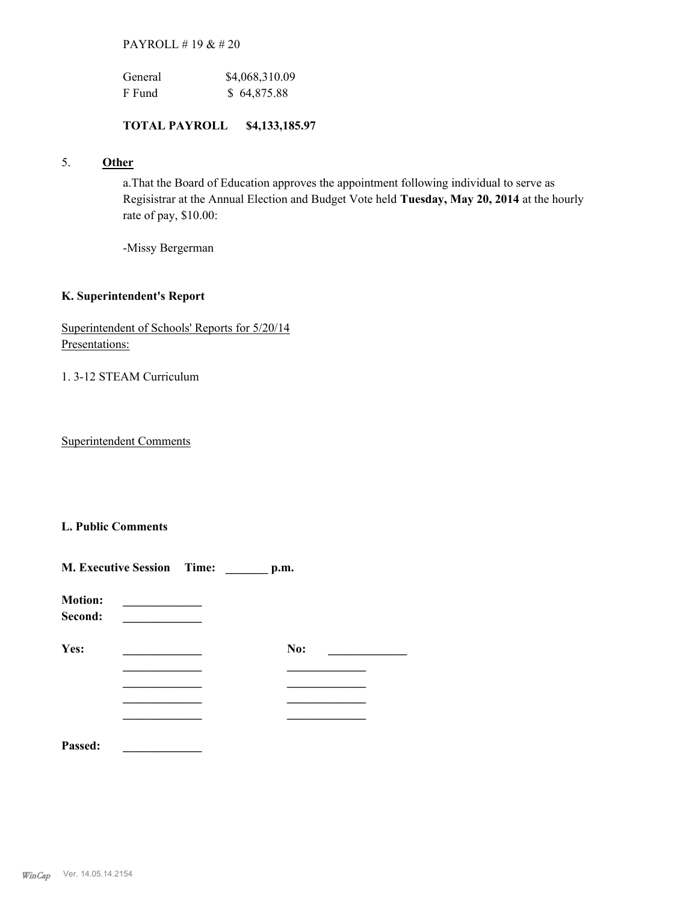PAYROLL # 19 & # 20

| General | \$4,068,310.09 |
|---------|----------------|
| F Fund  | \$64,875.88    |

## **TOTAL PAYROLL \$4,133,185.97**

# 5. **Other**

a.That the Board of Education approves the appointment following individual to serve as Regisistrar at the Annual Election and Budget Vote held **Tuesday, May 20, 2014** at the hourly rate of pay, \$10.00:

-Missy Bergerman

## **K. Superintendent's Report**

Superintendent of Schools' Reports for 5/20/14 Presentations:

1. 3-12 STEAM Curriculum

Superintendent Comments

# **L. Public Comments**

| <b>M. Executive Session Time:</b><br>p.m. |  |  |     |  |
|-------------------------------------------|--|--|-----|--|
| <b>Motion:</b><br>Second:                 |  |  |     |  |
| Yes:                                      |  |  | No: |  |
|                                           |  |  |     |  |
|                                           |  |  |     |  |
| Passed:                                   |  |  |     |  |